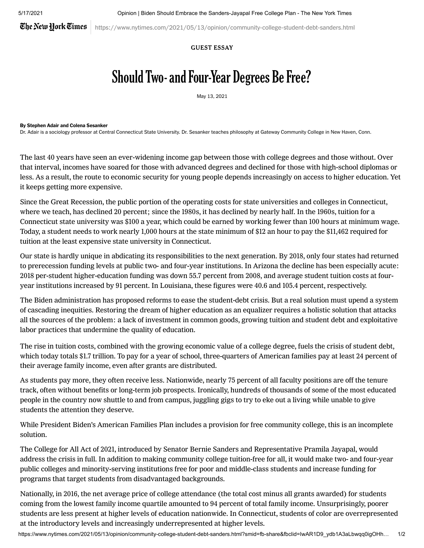The New York Times

https://www.nytimes.com/2021/05/13/opinion/community-college-student-debt-sanders.html

## GUEST ESSAY

## Should Two- and Four-Year Degrees Be Free?

May 13, 2021

## By Stephen Adair and Colena Sesanker

Dr. Adair is a sociology professor at Central Connecticut State University. Dr. Sesanker teaches philosophy at Gateway Community College in New Haven, Conn.

The last 40 years have seen an ever-widening [income](https://www.rand.org/pubs/working_papers/WRA516-1.html) gap between those with college degrees and those without. Over that interval, incomes have soared for those with [advanced](https://economics.mit.edu/files/16724) degrees and declined for those with high-school diplomas or less. As a result, the route to economic security for young people depends increasingly on access to higher education. Yet it keeps getting more expensive.

Since the Great Recession, the public portion of the operating costs for state universities and colleges in Connecticut, where we teach, has [declined](https://www.cbpp.org/research/state-budget-and-tax/unkept-promises-state-cuts-to-higher-education-threaten-access-and) 20 percent; since the 1980s, it has declined by [nearly](https://www.ctohe.org/News/pdfs/2019/2018SystemTrends.pdf) half. In the 1960s, tuition for a Connecticut state university was \$100 a year, which could be earned by working fewer than 100 hours at [minimum](https://www.ctdol.state.ct.us/wgwkstnd/wage-hour/history.htm) wage. Today, a student needs to work nearly 1,000 hours at the state [minimum](http://www.ctdol.state.ct.us/wgwkstnd/dol-75.pdf) of \$12 an hour to pay the \$11,462 required for tuition at the least expensive state university in Connecticut.

Our state is hardly unique in abdicating its responsibilities to the next generation. By 2018, only four [states](https://www.cbpp.org/research/state-budget-and-tax/unkept-promises-state-cuts-to-higher-education-threaten-access-and) had returned to prerecession funding levels at public two- and four-year institutions. In Arizona the decline has been especially acute: 2018 per-student higher-education funding was down 55.7 percent from 2008, and average student tuition costs at fouryear institutions increased by 91 percent. In Louisiana, these figures were 40.6 and 105.4 percent, respectively.

The Biden administration has proposed reforms to ease the student-debt crisis. But a real solution must upend a system of cascading inequities. Restoring the dream of higher education as an equalizer requires a holistic solution that attacks all the sources of the problem: a lack of investment in common goods, growing tuition and student debt and exploitative labor practices that undermine the quality of education.

The rise in tuition costs, combined with the growing economic value of a college degree, fuels the crisis of student debt, which today totals \$1.7 [trillion](https://fred.stlouisfed.org/series/SLOAS). To pay for a year of school, three-quarters of American families pay at least 24 [percent](http://pellinstitute.org/downloads/publications-Indicators_of_Higher_Education_Equity_in_the_US_2020_Historical_Trend_Report.pdf) of their average family income, even after grants are distributed.

As students pay more, they often receive less. Nationwide, nearly 75 [percent](https://www.aaup.org/news/data-snapshot-contingent-faculty-us-higher-ed#_blank) of all faculty positions are off the tenure track, often without benefits or long-term job prospects. Ironically, hundreds of [thousands](https://nces.ed.gov/programs/coe/indicator_csc.asp) of some of the most educated people in the country now shuttle to and from campus, juggling gigs to try to eke out a living while unable to give students the attention they deserve.

While President Biden's American Families Plan includes a provision for free community college, this is an incomplete solution.

The [College](https://www.sanders.senate.gov/press-releases/news-sanders-jayapal-and-colleagues-introduce-legislation-to-make-college-tuition-free-and-debt-free-for-working-families/) for All Act of 2021, introduced by Senator Bernie Sanders and Representative Pramila Jayapal, would address the crisis in full. In addition to making community college tuition-free for all, it would make two- and four-year public colleges and minority-serving institutions free for poor and middle-class students and increase funding for [programs](https://www2.ed.gov/about/offices/list/ope/trio/index.html) that [target](https://www2.ed.gov/programs/gearup/index.html) students from disadvantaged backgrounds.

Nationally, in 2016, the net average price of college attendance (the total cost minus all grants awarded) for students coming from the lowest family income quartile amounted to 94 [percent](http://pellinstitute.org/downloads/publications-Indicators_of_Higher_Education_Equity_in_the_US_2020_Historical_Trend_Report.pdf) of total family income. Unsurprisingly, poorer students are less present at higher levels of education [nationwide](http://pellinstitute.org/downloads/publications-Indicators_of_Higher_Education_Equity_in_the_US_2020_Historical_Trend_Report.pdf). In Connecticut, students of color are [overrepresented](https://public.tableau.com/profile/connecticut.state.colleges.and.universities.office.of.research.a#_blank) at the introductory levels and increasingly [underrepresented](https://www.census.gov/quickfacts/CT) at higher levels.

https://www.nytimes.com/2021/05/13/opinion/community-college-student-debt-sanders.html?smid=fb-share&fbclid=IwAR1D9\_ydb1A3aLbwqq0igOHh… 1/2